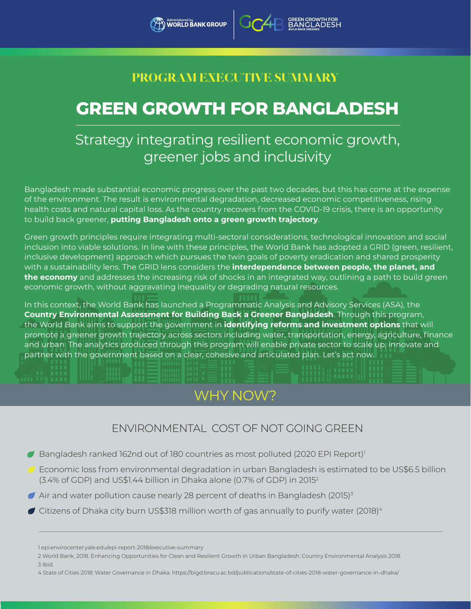### **PROGRAM EXECUTIVE SUMMARY**

# **GREEN GROWTH FOR BANGLADESH**

# Strategy integrating resilient economic growth, greener jobs and inclusivity

Bangladesh made substantial economic progress over the past two decades, but this has come at the expense of the environment. The result is environmental degradation, decreased economic competitiveness, rising health costs and natural capital loss. As the country recovers from the COVID-19 crisis, there is an opportunity to build back greener, **putting Bangladesh onto a green growth trajectory**.

Green growth principles require integrating multi-sectoral considerations, technological innovation and social inclusion into viable solutions. In line with these principles, the World Bank has adopted a GRID (green, resilient, inclusive development) approach which pursues the twin goals of poverty eradication and shared prosperity with a sustainability lens. The GRID lens considers the **interdependence between people, the planet, and the economy** and addresses the increasing risk of shocks in an integrated way, outlining a path to build green economic growth, without aggravating inequality or degrading natural resources.

In this context, the World Bank has launched a Programmatic Analysis and Advisory Services (ASA), the **Country Environmental Assessment for Building Back a Greener Bangladesh**. Through this program, the World Bank aims to support the government in **identifying reforms and investment options** that will promote a greener growth trajectory across sectors including water, transportation, energy, agriculture, finance and urban. The analytics produced through this program will enable private sector to scale up, innovate and partner with the government based on a clear, cohesive and articulated plan. Let's act now.

# WHY NOW?

### ENVIRONMENTAL COST OF NOT GOING GREEN

- $\blacktriangleright$  Bangladesh ranked 162nd out of 180 countries as most polluted (2020 EPI Report)<sup>1</sup>
- Economic loss from environmental degradation in urban Bangladesh is estimated to be US\$6.5 billion (3.4% of GDP) and US\$1.44 billion in Dhaka alone (0.7% of GDP) in 20152
- $\blacktriangleright$  Air and water pollution cause nearly 28 percent of deaths in Bangladesh (2015)<sup>3</sup>
- $\blacktriangleright$  Citizens of Dhaka city burn US\$318 million worth of gas annually to purify water (2018) $^4$

- 2 World Bank, 2018. Enhancing Opportunities for Clean and Resilient Growth in Urban Bangladesh: Country Environmental Analysis 2018. 3 Ibid.
- 4 State of Cities 2018: Water Governance in Dhaka. https://bigd.bracu.ac.bd/publications/state-of-cities-2018-water-governance-in-dhaka/

<sup>1</sup> epi.envirocenter.yale.edu/epi-report-2018/executive-summary